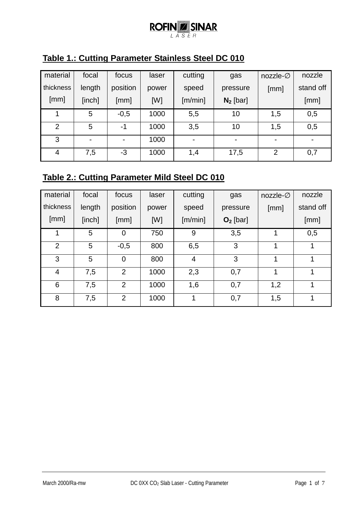### **ROFINZ SINAR** LASER

| Table 1.: Cutting Parameter Stainless Steel DC 010 |  |
|----------------------------------------------------|--|
|                                                    |  |

| material       | focal                    | focus                    | laser | cutting | gas            | nozzle- $\varnothing$ | nozzle    |
|----------------|--------------------------|--------------------------|-------|---------|----------------|-----------------------|-----------|
| thickness      | length                   | position                 | power | speed   | pressure       | [mm]                  | stand off |
| [mm]           | [inch]                   | [mm]                     | [W]   | [m/min] | $N_2$ [bar]    |                       | [mm]      |
|                | 5                        | $-0,5$                   | 1000  | 5,5     | 10             | 1,5                   | 0,5       |
| $\overline{2}$ | 5                        | -1                       | 1000  | 3,5     | 10             | 1,5                   | 0,5       |
| 3              | $\overline{\phantom{0}}$ | $\overline{\phantom{0}}$ | 1000  | -       | $\blacksquare$ | $\blacksquare$        |           |
| 4              | 7,5                      | $-3$                     | 1000  | 1,4     | 17,5           | $\overline{2}$        | 0,7       |

### **Table 2.: Cutting Parameter Mild Steel DC 010**

| material       | focal  | focus          | laser | cutting | gas        | nozzle- $\varnothing$ | nozzle    |
|----------------|--------|----------------|-------|---------|------------|-----------------------|-----------|
| thickness      | length | position       | power | speed   | pressure   | [mm]                  | stand off |
| [mm]           | [inch] | [mm]           | [W]   | [m/min] | $O2$ [bar] |                       | [mm]      |
|                | 5      | 0              | 750   | 9       | 3,5        |                       | 0,5       |
| $\overline{2}$ | 5      | $-0,5$         | 800   | 6,5     | 3          |                       | 1         |
| 3              | 5      | $\overline{0}$ | 800   | 4       | 3          |                       | 1         |
| $\overline{4}$ | 7,5    | $\overline{2}$ | 1000  | 2,3     | 0,7        |                       |           |
| 6              | 7,5    | $\overline{2}$ | 1000  | 1,6     | 0,7        | 1,2                   | 1         |
| 8              | 7,5    | 2              | 1000  | 1       | 0,7        | 1,5                   | 1         |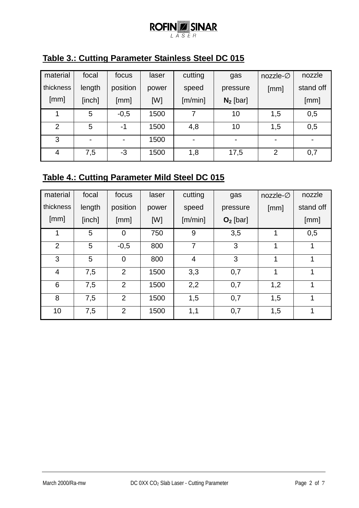# $\underset{\text{LASSER}}{\text{ROFIN}}\underset{\text{SER}}{\text{SINAR}}$

| Table 3.: Cutting Parameter Stainless Steel DC 015 |  |  |
|----------------------------------------------------|--|--|
|                                                    |  |  |

| material  | focal                    | focus          | laser | cutting        | gas         | nozzle- $\varnothing$ | nozzle         |
|-----------|--------------------------|----------------|-------|----------------|-------------|-----------------------|----------------|
| thickness | length                   | position       | power | speed          | pressure    | [mm]                  | stand off      |
| [mm]      | [inch]                   | [mm]           | [W]   | [m/min]        | $N_2$ [bar] |                       | [mm]           |
|           | 5                        | $-0,5$         | 1500  |                | 10          | 1,5                   | 0,5            |
| 2         | 5                        | -1             | 1500  | 4,8            | 10          | 1,5                   | 0,5            |
| 3         | $\overline{\phantom{0}}$ | $\blacksquare$ | 1500  | $\blacksquare$ | -           | $\blacksquare$        | $\blacksquare$ |
| 4         | 7,5                      | -3             | 1500  | 1,8            | 17,5        | $\overline{2}$        | 0,7            |

### **Table 4.: Cutting Parameter Mild Steel DC 015**

| material       | focal  | focus          | laser | cutting        | gas        | nozzle- $\varnothing$ | nozzle    |
|----------------|--------|----------------|-------|----------------|------------|-----------------------|-----------|
| thickness      | length | position       | power | speed          | pressure   | [mm]                  | stand off |
| [mm]           | [inch] | [mm]           | [W]   | [m/min]        | $O2$ [bar] |                       | [mm]      |
|                | 5      | $\overline{0}$ | 750   | 9              | 3,5        |                       | 0,5       |
| $\overline{2}$ | 5      | $-0,5$         | 800   | 7              | 3          | 1                     | 1         |
| 3              | 5      | $\overline{0}$ | 800   | $\overline{4}$ | 3          | 1                     | 1         |
| 4              | 7,5    | 2              | 1500  | 3,3            | 0,7        | 1                     | 1         |
| 6              | 7,5    | 2              | 1500  | 2,2            | 0,7        | 1,2                   | 1         |
| 8              | 7,5    | $\overline{2}$ | 1500  | 1,5            | 0,7        | 1,5                   | 1         |
| 10             | 7,5    | 2              | 1500  | 1,1            | 0,7        | 1,5                   | 1         |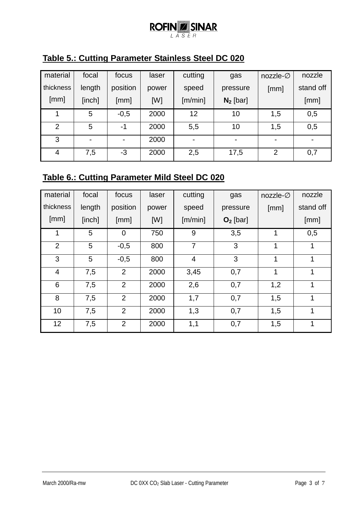### **ROFINZ SINAR** LASER

| Table 5.: Cutting Parameter Stainless Steel DC 020 |
|----------------------------------------------------|
|----------------------------------------------------|

| material       | focal  | focus          | laser | cutting | gas            | nozzle- $\varnothing$ | nozzle    |
|----------------|--------|----------------|-------|---------|----------------|-----------------------|-----------|
| thickness      | length | position       | power | speed   | pressure       | [mm]                  | stand off |
| [mm]           | [inch] | [mm]           | [W]   | [m/min] | $N_2$ [bar]    |                       | [mm]      |
|                | 5      | $-0,5$         | 2000  | 12      | 10             | 1,5                   | 0,5       |
| $\overline{2}$ | 5      | -1             | 2000  | 5,5     | 10             | 1,5                   | 0,5       |
| 3              |        | $\blacksquare$ | 2000  | -       | $\blacksquare$ | -                     |           |
| 4              | 7,5    | $-3$           | 2000  | 2,5     | 17,5           | $\overline{2}$        | 0,7       |

### **Table 6.: Cutting Parameter Mild Steel DC 020**

| material       | focal  | focus          | laser | cutting        | gas        | nozzle- $\varnothing$ | nozzle       |
|----------------|--------|----------------|-------|----------------|------------|-----------------------|--------------|
| thickness      | length | position       | power | speed          | pressure   | [mm]                  | stand off    |
| [mm]           | [inch] | [mm]           | [W]   | [m/min]        | $O2$ [bar] |                       | [mm]         |
| 1              | 5      | $\overline{0}$ | 750   | 9              | 3,5        | 1                     | 0,5          |
| $\overline{2}$ | 5      | $-0,5$         | 800   | $\overline{7}$ | 3          | 1                     | 1            |
| 3              | 5      | $-0,5$         | 800   | $\overline{4}$ | 3          | 1                     | 1            |
| 4              | 7,5    | $\overline{2}$ | 2000  | 3,45           | 0,7        | 1                     | 1            |
| 6              | 7,5    | $\overline{2}$ | 2000  | 2,6            | 0,7        | 1,2                   | 1            |
| 8              | 7,5    | 2              | 2000  | 1,7            | 0,7        | 1,5                   | 1            |
| 10             | 7,5    | $\overline{2}$ | 2000  | 1,3            | 0,7        | 1,5                   | 1            |
| 12             | 7,5    | 2              | 2000  | 1,1            | 0,7        | 1,5                   | $\mathbf{1}$ |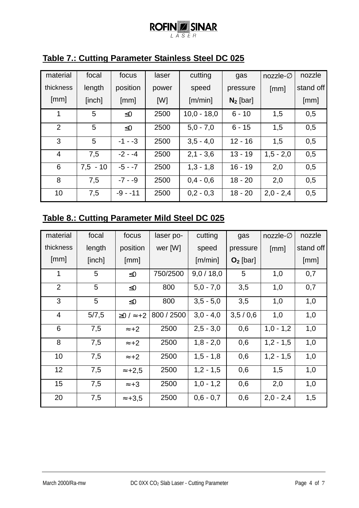#### **ROFINZ SINAR** LASER

| material       | focal      | focus      | laser | cutting       | gas         | nozzle- $\varnothing$ | nozzle    |
|----------------|------------|------------|-------|---------------|-------------|-----------------------|-----------|
| thickness      | length     | position   | power | speed         | pressure    | [mm]                  | stand off |
| [mm]           | [inch]     | [mm]       | [W]   | [m/min]       | $N_2$ [bar] |                       | [mm]      |
| 1              | 5          | $\leq 0$   | 2500  | $10,0 - 18,0$ | $6 - 10$    | 1,5                   | 0,5       |
| 2              | 5          | $\leq 0$   | 2500  | $5,0 - 7,0$   | $6 - 15$    | 1,5                   | 0,5       |
| 3              | 5          | $-1 - -3$  | 2500  | $3,5 - 4,0$   | $12 - 16$   | 1,5                   | 0,5       |
| $\overline{4}$ | 7,5        | $-2 - -4$  | 2500  | $2,1 - 3,6$   | $13 - 19$   | $1,5 - 2,0$           | 0,5       |
| 6              | $7.5 - 10$ | $-5 - -7$  | 2500  | $1,3 - 1,8$   | $16 - 19$   | 2,0                   | 0,5       |
| 8              | 7,5        | $-7 - 9$   | 2500  | $0,4 - 0,6$   | $18 - 20$   | 2,0                   | 0,5       |
| 10             | 7,5        | $-9 - -11$ | 2500  | $0,2 - 0,3$   | $18 - 20$   | $2,0 - 2,4$           | 0,5       |

### **Table 7.: Cutting Parameter Stainless Steel DC 025**

### **Table 8.: Cutting Parameter Mild Steel DC 025**

| material       | focal  | focus                   | laser po-  | cutting     | gas        | nozzle- $\varnothing$ | nozzle    |
|----------------|--------|-------------------------|------------|-------------|------------|-----------------------|-----------|
| thickness      | length | position                | wer [W]    | speed       | pressure   | [mm]                  | stand off |
| [mm]           | [inch] | [mm]                    |            | [m/min]     | $O2$ [bar] |                       | [mm]      |
| 1              | 5      | $\leq 0$                | 750/2500   | 9,0/18,0    | 5          | 1,0                   | 0,7       |
| 2              | 5      | $\leq 0$                | 800        | $5,0 - 7,0$ | 3,5        | 1,0                   | 0,7       |
| 3              | 5      | $\leq 0$                | 800        | $3,5 - 5,0$ | 3,5        | 1,0                   | 1,0       |
| $\overline{4}$ | 5/7,5  | $\geq$ 0 / $\approx$ +2 | 800 / 2500 | $3.0 - 4.0$ | 3,5/0,6    | 1,0                   | 1,0       |
| 6              | 7,5    | $\approx +2$            | 2500       | $2,5 - 3,0$ | 0,6        | $1,0 - 1,2$           | 1,0       |
| 8              | 7,5    | $\approx +2$            | 2500       | $1,8 - 2,0$ | 0,6        | $1,2 - 1,5$           | 1,0       |
| 10             | 7,5    | $\approx +2$            | 2500       | $1,5 - 1,8$ | 0,6        | $1,2 - 1,5$           | 1,0       |
| 12             | 7,5    | $\approx +2.5$          | 2500       | $1,2 - 1,5$ | 0,6        | 1,5                   | 1,0       |
| 15             | 7,5    | $\approx +3$            | 2500       | $1,0 - 1,2$ | 0,6        | 2,0                   | 1,0       |
| 20             | 7,5    | $\approx +3.5$          | 2500       | $0,6 - 0,7$ | 0,6        | $2,0 - 2,4$           | 1,5       |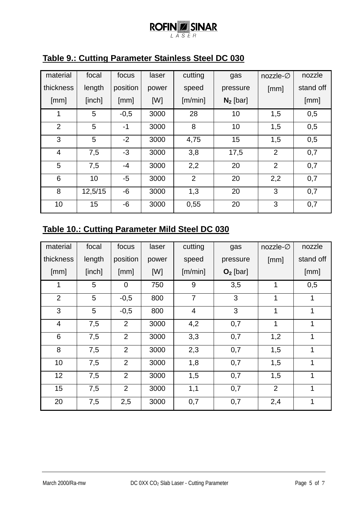# $\underset{\text{LASSER}}{\text{ROFIN}}\underset{\text{LASSER}}{\text{SINAR}}$

| material       | focal   | focus    | laser | cutting        | gas         | nozzle- $\varnothing$ | nozzle    |
|----------------|---------|----------|-------|----------------|-------------|-----------------------|-----------|
| thickness      | length  | position | power | speed          | pressure    | [mm]                  | stand off |
| [mm]           | [inch]  | [mm]     | [W]   | [m/min]        | $N_2$ [bar] |                       | [mm]      |
| 1              | 5       | $-0,5$   | 3000  | 28             | 10          | 1,5                   | 0,5       |
| 2              | 5       | $-1$     | 3000  | 8              | 10          | 1,5                   | 0,5       |
| 3              | 5       | $-2$     | 3000  | 4,75           | 15          | 1,5                   | 0,5       |
| $\overline{4}$ | 7,5     | $-3$     | 3000  | 3,8            | 17,5        | $\overline{2}$        | 0,7       |
| 5              | 7,5     | $-4$     | 3000  | 2,2            | 20          | $\overline{2}$        | 0,7       |
| 6              | 10      | -5       | 3000  | $\overline{2}$ | 20          | 2,2                   | 0,7       |
| 8              | 12,5/15 | $-6$     | 3000  | 1,3            | 20          | 3                     | 0,7       |
| 10             | 15      | -6       | 3000  | 0,55           | 20          | 3                     | 0,7       |

### **Table 9.: Cutting Parameter Stainless Steel DC 030**

# **Table 10.: Cutting Parameter Mild Steel DC 030**

| material       | focal  | focus          | laser | cutting        | gas        | nozzle- $\varnothing$ | nozzle       |
|----------------|--------|----------------|-------|----------------|------------|-----------------------|--------------|
| thickness      | length | position       | power | speed          | pressure   | [mm]                  | stand off    |
| [mm]           | [inch] | [mm]           | [W]   | [m/min]        | $O2$ [bar] |                       | [mm]         |
| 1              | 5      | $\mathbf 0$    | 750   | 9              | 3,5        |                       | 0,5          |
| $\overline{2}$ | 5      | $-0,5$         | 800   | $\overline{7}$ | 3          | 1                     | $\mathbf{1}$ |
| 3              | 5      | $-0,5$         | 800   | $\overline{4}$ | 3          | 1                     | 1            |
| $\overline{4}$ | 7,5    | 2              | 3000  | 4,2            | 0,7        | 1                     | 1            |
| 6              | 7,5    | 2              | 3000  | 3,3            | 0,7        |                       | 1            |
| 8              | 7,5    | $\overline{2}$ | 3000  | 2,3            | 0,7        | 1,5                   | 1            |
| 10             | 7,5    | 2              | 3000  | 1,8            | 0,7        | 1,5                   | 1            |
| 12             | 7,5    | $\overline{2}$ | 3000  | 1,5<br>0,7     |            | 1,5                   | 1            |
| 15             | 7,5    | $\overline{2}$ | 3000  | 1,1            | 0,7        | $\overline{2}$        | 1            |
| 20             | 7,5    | 2,5            | 3000  | 0,7            | 0,7        | 2,4                   | 1            |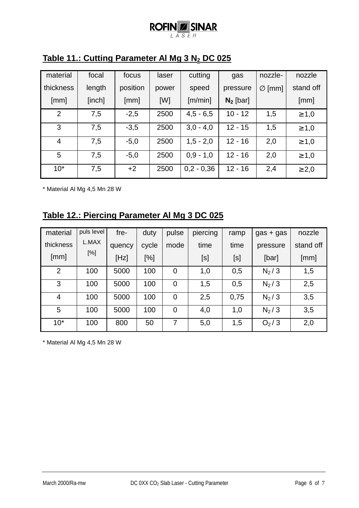#### **ROFIN Z SINAR**  $\overline{L}$  $\overline{A} \overline{S} \overline{E} R$

| material  | focal  | focus    | laser | cutting      | gas         | nozzle-            | nozzle     |
|-----------|--------|----------|-------|--------------|-------------|--------------------|------------|
| thickness | length | position | power | speed        | pressure    | $\varnothing$ [mm] | stand off  |
| [mm]      | [inch] | [mm]     | [W]   | [m/min]      | $N_2$ [bar] |                    | [mm]       |
| 2         | 7,5    | $-2,5$   | 2500  | $4,5 - 6,5$  | $10 - 12$   | 1,5                | $\geq 1,0$ |
| 3         | 7,5    | $-3,5$   | 2500  | $3,0 - 4,0$  | $12 - 15$   | 1,5                | $\geq 1,0$ |
| 4         | 7,5    | $-5,0$   | 2500  | $1,5 - 2,0$  | $12 - 16$   | 2,0                | $\geq 1,0$ |
| 5         | 7,5    | $-5,0$   | 2500  | $0,9 - 1,0$  | $12 - 16$   | 2,0                | $\geq 1,0$ |
| $10*$     | 7,5    | $+2$     | 2500  | $0,2 - 0,36$ | $12 - 16$   | 2,4                | $\geq 2,0$ |

## **Table 11.: Cutting Parameter Al Mg 3 N2 DC 025**

\* Material Al Mg 4,5 Mn 28 W

### **Table 12.: Piercing Parameter Al Mg 3 DC 025**

| material       | puls level | fre-   | duty  | pulse          | piercing | ramp | $gas + gas$ | nozzle    |
|----------------|------------|--------|-------|----------------|----------|------|-------------|-----------|
| thickness      | L.MAX      | quency | cycle | mode           | time     | time | pressure    | stand off |
| [mm]           | $[\%]$     | [Hz]   | [%]   |                | [s]      | [s]  | [bar]       | [mm]      |
| $\overline{2}$ | 100        | 5000   | 100   | $\mathbf 0$    | 1,0      | 0,5  | $N_2/3$     | 1,5       |
| 3              | 100        | 5000   | 100   | $\overline{0}$ | 1,5      | 0.5  | $N_2/3$     | 2,5       |
| 4              | 100        | 5000   | 100   | $\overline{0}$ | 2,5      | 0,75 | $N_2/3$     | 3,5       |
| 5              | 100        | 5000   | 100   | $\mathbf 0$    | 4,0      | 1,0  | $N_2/3$     | 3,5       |
| $10*$          | 100        | 800    | 50    | 7              | 5,0      | 1,5  | $O_2/3$     | 2,0       |

\* Material Al Mg 4,5 Mn 28 W